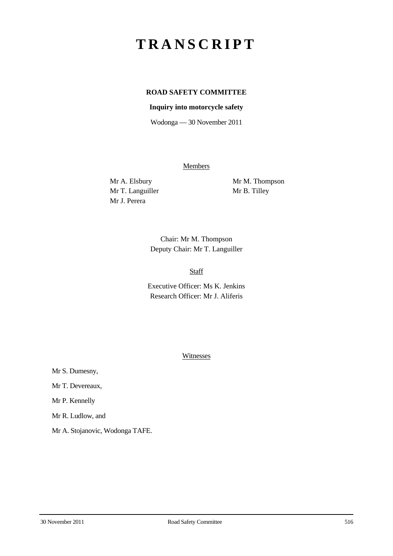# **TRANSCRIPT**

# **ROAD SAFETY COMMITTEE**

#### **Inquiry into motorcycle safety**

Wodonga — 30 November 2011

**Members** 

Mr T. Languiller Mr B. Tilley Mr J. Perera

Mr A. Elsbury Mr M. Thompson

Chair: Mr M. Thompson Deputy Chair: Mr T. Languiller

### Staff

Executive Officer: Ms K. Jenkins Research Officer: Mr J. Aliferis

**Witnesses** 

Mr S. Dumesny,

Mr T. Devereaux,

Mr P. Kennelly

Mr R. Ludlow, and

Mr A. Stojanovic, Wodonga TAFE.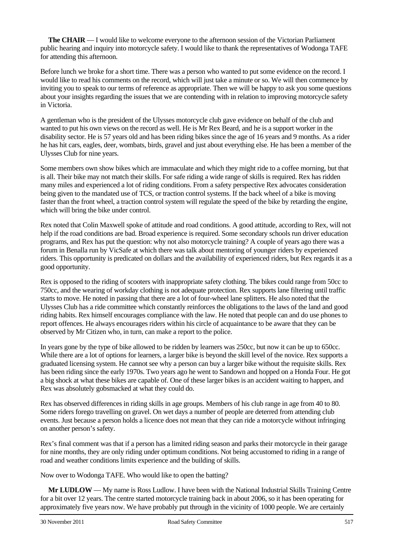**The CHAIR** — I would like to welcome everyone to the afternoon session of the Victorian Parliament public hearing and inquiry into motorcycle safety. I would like to thank the representatives of Wodonga TAFE for attending this afternoon.

Before lunch we broke for a short time. There was a person who wanted to put some evidence on the record. I would like to read his comments on the record, which will just take a minute or so. We will then commence by inviting you to speak to our terms of reference as appropriate. Then we will be happy to ask you some questions about your insights regarding the issues that we are contending with in relation to improving motorcycle safety in Victoria.

A gentleman who is the president of the Ulysses motorcycle club gave evidence on behalf of the club and wanted to put his own views on the record as well. He is Mr Rex Beard, and he is a support worker in the disability sector. He is 57 years old and has been riding bikes since the age of 16 years and 9 months. As a rider he has hit cars, eagles, deer, wombats, birds, gravel and just about everything else. He has been a member of the Ulysses Club for nine years.

Some members own show bikes which are immaculate and which they might ride to a coffee morning, but that is all. Their bike may not match their skills. For safe riding a wide range of skills is required. Rex has ridden many miles and experienced a lot of riding conditions. From a safety perspective Rex advocates consideration being given to the mandated use of TCS, or traction control systems. If the back wheel of a bike is moving faster than the front wheel, a traction control system will regulate the speed of the bike by retarding the engine, which will bring the bike under control.

Rex noted that Colin Maxwell spoke of attitude and road conditions. A good attitude, according to Rex, will not help if the road conditions are bad. Broad experience is required. Some secondary schools run driver education programs, and Rex has put the question: why not also motorcycle training? A couple of years ago there was a forum in Benalla run by VicSafe at which there was talk about mentoring of younger riders by experienced riders. This opportunity is predicated on dollars and the availability of experienced riders, but Rex regards it as a good opportunity.

Rex is opposed to the riding of scooters with inappropriate safety clothing. The bikes could range from 50cc to 750cc, and the wearing of workday clothing is not adequate protection. Rex supports lane filtering until traffic starts to move. He noted in passing that there are a lot of four-wheel lane splitters. He also noted that the Ulysses Club has a ride committee which constantly reinforces the obligations to the laws of the land and good riding habits. Rex himself encourages compliance with the law. He noted that people can and do use phones to report offences. He always encourages riders within his circle of acquaintance to be aware that they can be observed by Mr Citizen who, in turn, can make a report to the police.

In years gone by the type of bike allowed to be ridden by learners was 250cc, but now it can be up to 650cc. While there are a lot of options for learners, a larger bike is beyond the skill level of the novice. Rex supports a graduated licensing system. He cannot see why a person can buy a larger bike without the requisite skills. Rex has been riding since the early 1970s. Two years ago he went to Sandown and hopped on a Honda Four. He got a big shock at what these bikes are capable of. One of these larger bikes is an accident waiting to happen, and Rex was absolutely gobsmacked at what they could do.

Rex has observed differences in riding skills in age groups. Members of his club range in age from 40 to 80. Some riders forego travelling on gravel. On wet days a number of people are deterred from attending club events. Just because a person holds a licence does not mean that they can ride a motorcycle without infringing on another person's safety.

Rex's final comment was that if a person has a limited riding season and parks their motorcycle in their garage for nine months, they are only riding under optimum conditions. Not being accustomed to riding in a range of road and weather conditions limits experience and the building of skills.

Now over to Wodonga TAFE. Who would like to open the batting?

**Mr LUDLOW** — My name is Ross Ludlow. I have been with the National Industrial Skills Training Centre for a bit over 12 years. The centre started motorcycle training back in about 2006, so it has been operating for approximately five years now. We have probably put through in the vicinity of 1000 people. We are certainly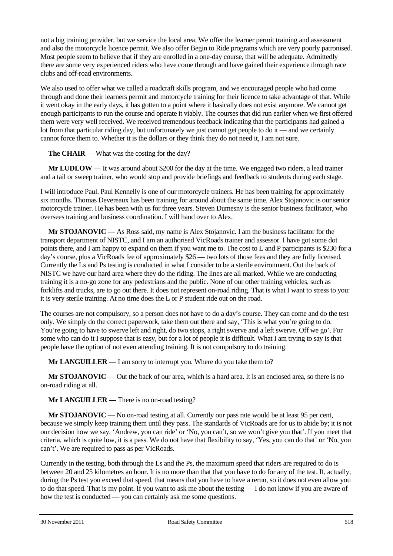not a big training provider, but we service the local area. We offer the learner permit training and assessment and also the motorcycle licence permit. We also offer Begin to Ride programs which are very poorly patronised. Most people seem to believe that if they are enrolled in a one-day course, that will be adequate. Admittedly there are some very experienced riders who have come through and have gained their experience through race clubs and off-road environments.

We also used to offer what we called a roadcraft skills program, and we encouraged people who had come through and done their learners permit and motorcycle training for their licence to take advantage of that. While it went okay in the early days, it has gotten to a point where it basically does not exist anymore. We cannot get enough participants to run the course and operate it viably. The courses that did run earlier when we first offered them were very well received. We received tremendous feedback indicating that the participants had gained a lot from that particular riding day, but unfortunately we just cannot get people to do it — and we certainly cannot force them to. Whether it is the dollars or they think they do not need it, I am not sure.

**The CHAIR** — What was the costing for the day?

**Mr LUDLOW** — It was around about \$200 for the day at the time. We engaged two riders, a lead trainer and a tail or sweep trainer, who would stop and provide briefings and feedback to students during each stage.

I will introduce Paul. Paul Kennelly is one of our motorcycle trainers. He has been training for approximately six months. Thomas Devereaux has been training for around about the same time. Alex Stojanovic is our senior motorcycle trainer. He has been with us for three years. Steven Dumesny is the senior business facilitator, who oversees training and business coordination. I will hand over to Alex.

**Mr STOJANOVIC** — As Ross said, my name is Alex Stojanovic. I am the business facilitator for the transport department of NISTC, and I am an authorised VicRoads trainer and assessor. I have got some dot points there, and I am happy to expand on them if you want me to. The cost to L and P participants is \$230 for a day's course, plus a VicRoads fee of approximately \$26 — two lots of those fees and they are fully licensed. Currently the Ls and Ps testing is conducted in what I consider to be a sterile environment. Out the back of NISTC we have our hard area where they do the riding. The lines are all marked. While we are conducting training it is a no-go zone for any pedestrians and the public. None of our other training vehicles, such as forklifts and trucks, are to go out there. It does not represent on-road riding. That is what I want to stress to you: it is very sterile training. At no time does the L or P student ride out on the road.

The courses are not compulsory, so a person does not have to do a day's course. They can come and do the test only. We simply do the correct paperwork, take them out there and say, 'This is what you're going to do. You're going to have to swerve left and right, do two stops, a right swerve and a left swerve. Off we go'. For some who can do it I suppose that is easy, but for a lot of people it is difficult. What I am trying to say is that people have the option of not even attending training. It is not compulsory to do training.

**Mr LANGUILLER** — I am sorry to interrupt you. Where do you take them to?

**Mr STOJANOVIC** — Out the back of our area, which is a hard area. It is an enclosed area, so there is no on-road riding at all.

**Mr LANGUILLER** — There is no on-road testing?

**Mr STOJANOVIC** — No on-road testing at all. Currently our pass rate would be at least 95 per cent, because we simply keep training them until they pass. The standards of VicRoads are for us to abide by; it is not our decision how we say, 'Andrew, you can ride' or 'No, you can't, so we won't give you that'. If you meet that criteria, which is quite low, it is a pass. We do not have that flexibility to say, 'Yes, you can do that' or 'No, you can't'. We are required to pass as per VicRoads.

Currently in the testing, both through the Ls and the Ps, the maximum speed that riders are required to do is between 20 and 25 kilometres an hour. It is no more than that that you have to do for any of the test. If, actually, during the Ps test you exceed that speed, that means that you have to have a rerun, so it does not even allow you to do that speed. That is my point. If you want to ask me about the testing — I do not know if you are aware of how the test is conducted — you can certainly ask me some questions.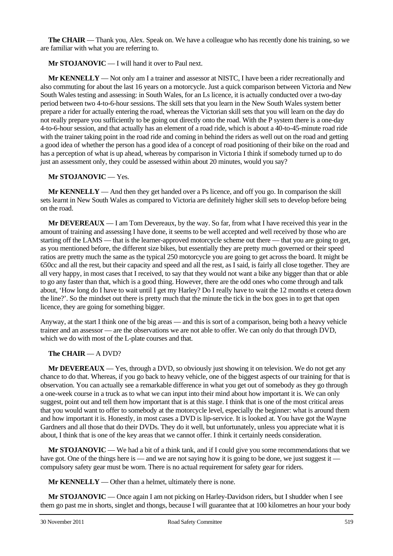**The CHAIR** — Thank you, Alex. Speak on. We have a colleague who has recently done his training, so we are familiar with what you are referring to.

**Mr STOJANOVIC** — I will hand it over to Paul next.

**Mr KENNELLY** — Not only am I a trainer and assessor at NISTC, I have been a rider recreationally and also commuting for about the last 16 years on a motorcycle. Just a quick comparison between Victoria and New South Wales testing and assessing: in South Wales, for an Ls licence, it is actually conducted over a two-day period between two 4-to-6-hour sessions. The skill sets that you learn in the New South Wales system better prepare a rider for actually entering the road, whereas the Victorian skill sets that you will learn on the day do not really prepare you sufficiently to be going out directly onto the road. With the P system there is a one-day 4-to-6-hour session, and that actually has an element of a road ride, which is about a 40-to-45-minute road ride with the trainer taking point in the road ride and coming in behind the riders as well out on the road and getting a good idea of whether the person has a good idea of a concept of road positioning of their bike on the road and has a perception of what is up ahead, whereas by comparison in Victoria I think if somebody turned up to do just an assessment only, they could be assessed within about 20 minutes, would you say?

#### **Mr STOJANOVIC** — Yes.

**Mr KENNELLY** — And then they get handed over a Ps licence, and off you go. In comparison the skill sets learnt in New South Wales as compared to Victoria are definitely higher skill sets to develop before being on the road.

**Mr DEVEREAUX** — I am Tom Devereaux, by the way. So far, from what I have received this year in the amount of training and assessing I have done, it seems to be well accepted and well received by those who are starting off the LAMS — that is the learner-approved motorcycle scheme out there — that you are going to get, as you mentioned before, the different size bikes, but essentially they are pretty much governed or their speed ratios are pretty much the same as the typical 250 motorcycle you are going to get across the board. It might be 650cc and all the rest, but their capacity and speed and all the rest, as I said, is fairly all close together. They are all very happy, in most cases that I received, to say that they would not want a bike any bigger than that or able to go any faster than that, which is a good thing. However, there are the odd ones who come through and talk about, 'How long do I have to wait until I get my Harley? Do I really have to wait the 12 months et cetera down the line?'. So the mindset out there is pretty much that the minute the tick in the box goes in to get that open licence, they are going for something bigger.

Anyway, at the start I think one of the big areas — and this is sort of a comparison, being both a heavy vehicle trainer and an assessor — are the observations we are not able to offer. We can only do that through DVD, which we do with most of the L-plate courses and that.

## **The CHAIR** — A DVD?

**Mr DEVEREAUX** — Yes, through a DVD, so obviously just showing it on television. We do not get any chance to do that. Whereas, if you go back to heavy vehicle, one of the biggest aspects of our training for that is observation. You can actually see a remarkable difference in what you get out of somebody as they go through a one-week course in a truck as to what we can input into their mind about how important it is. We can only suggest, point out and tell them how important that is at this stage. I think that is one of the most critical areas that you would want to offer to somebody at the motorcycle level, especially the beginner: what is around them and how important it is. Honestly, in most cases a DVD is lip-service. It is looked at. You have got the Wayne Gardners and all those that do their DVDs. They do it well, but unfortunately, unless you appreciate what it is about, I think that is one of the key areas that we cannot offer. I think it certainly needs consideration.

**Mr STOJANOVIC** — We had a bit of a think tank, and if I could give you some recommendations that we have got. One of the things here is — and we are not saying how it is going to be done, we just suggest it compulsory safety gear must be worn. There is no actual requirement for safety gear for riders.

**Mr KENNELLY** — Other than a helmet, ultimately there is none.

**Mr STOJANOVIC** — Once again I am not picking on Harley-Davidson riders, but I shudder when I see them go past me in shorts, singlet and thongs, because I will guarantee that at 100 kilometres an hour your body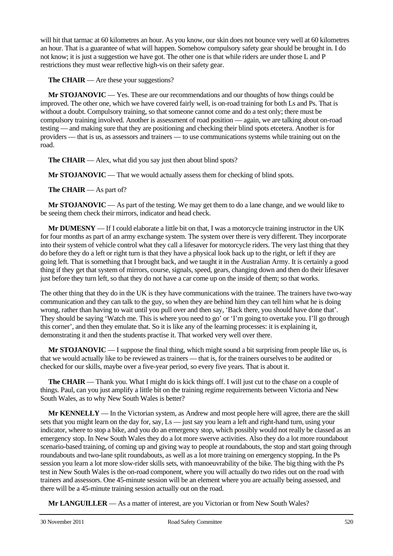will hit that tarmac at 60 kilometres an hour. As you know, our skin does not bounce very well at 60 kilometres an hour. That is a guarantee of what will happen. Somehow compulsory safety gear should be brought in. I do not know; it is just a suggestion we have got. The other one is that while riders are under those L and P restrictions they must wear reflective high-vis on their safety gear.

**The CHAIR** — Are these your suggestions?

**Mr STOJANOVIC** — Yes. These are our recommendations and our thoughts of how things could be improved. The other one, which we have covered fairly well, is on-road training for both Ls and Ps. That is without a doubt. Compulsory training, so that someone cannot come and do a test only; there must be compulsory training involved. Another is assessment of road position — again, we are talking about on-road testing — and making sure that they are positioning and checking their blind spots etcetera. Another is for providers — that is us, as assessors and trainers — to use communications systems while training out on the road.

**The CHAIR** — Alex, what did you say just then about blind spots?

**Mr STOJANOVIC** — That we would actually assess them for checking of blind spots.

**The CHAIR** — As part of?

**Mr STOJANOVIC** — As part of the testing. We may get them to do a lane change, and we would like to be seeing them check their mirrors, indicator and head check.

**Mr DUMESNY** — If I could elaborate a little bit on that, I was a motorcycle training instructor in the UK for four months as part of an army exchange system. The system over there is very different. They incorporate into their system of vehicle control what they call a lifesaver for motorcycle riders. The very last thing that they do before they do a left or right turn is that they have a physical look back up to the right, or left if they are going left. That is something that I brought back, and we taught it in the Australian Army. It is certainly a good thing if they get that system of mirrors, course, signals, speed, gears, changing down and then do their lifesaver just before they turn left, so that they do not have a car come up on the inside of them; so that works.

The other thing that they do in the UK is they have communications with the trainee. The trainers have two-way communication and they can talk to the guy, so when they are behind him they can tell him what he is doing wrong, rather than having to wait until you pull over and then say, 'Back there, you should have done that'. They should be saying 'Watch me. This is where you need to go' or 'I'm going to overtake you. I'll go through this corner', and then they emulate that. So it is like any of the learning processes: it is explaining it, demonstrating it and then the students practise it. That worked very well over there.

**Mr STOJANOVIC** — I suppose the final thing, which might sound a bit surprising from people like us, is that we would actually like to be reviewed as trainers — that is, for the trainers ourselves to be audited or checked for our skills, maybe over a five-year period, so every five years. That is about it.

**The CHAIR** — Thank you. What I might do is kick things off. I will just cut to the chase on a couple of things. Paul, can you just amplify a little bit on the training regime requirements between Victoria and New South Wales, as to why New South Wales is better?

**Mr KENNELLY** — In the Victorian system, as Andrew and most people here will agree, there are the skill sets that you might learn on the day for, say, Ls — just say you learn a left and right-hand turn, using your indicator, where to stop a bike, and you do an emergency stop, which possibly would not really be classed as an emergency stop. In New South Wales they do a lot more swerve activities. Also they do a lot more roundabout scenario-based training, of coming up and giving way to people at roundabouts, the stop and start going through roundabouts and two-lane split roundabouts, as well as a lot more training on emergency stopping. In the Ps session you learn a lot more slow-rider skills sets, with manoeuvrability of the bike. The big thing with the Ps test in New South Wales is the on-road component, where you will actually do two rides out on the road with trainers and assessors. One 45-minute session will be an element where you are actually being assessed, and there will be a 45-minute training session actually out on the road.

**Mr LANGUILLER** — As a matter of interest, are you Victorian or from New South Wales?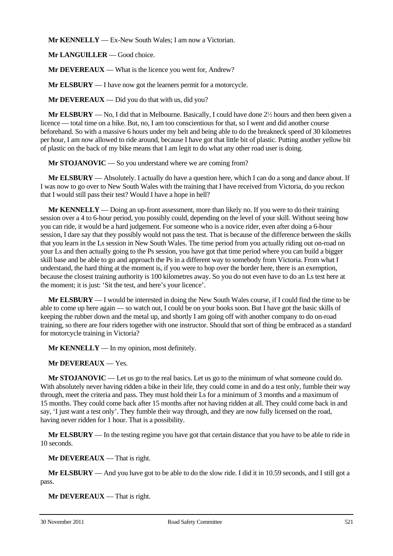**Mr KENNELLY** — Ex-New South Wales; I am now a Victorian.

**Mr LANGUILLER** — Good choice.

**Mr DEVEREAUX** — What is the licence you went for, Andrew?

**Mr ELSBURY** — I have now got the learners permit for a motorcycle.

**Mr DEVEREAUX** — Did you do that with us, did you?

**Mr ELSBURY** — No, I did that in Melbourne. Basically, I could have done  $2\frac{1}{2}$  hours and then been given a licence — total time on a bike. But, no, I am too conscientious for that, so I went and did another course beforehand. So with a massive 6 hours under my belt and being able to do the breakneck speed of 30 kilometres per hour, I am now allowed to ride around, because I have got that little bit of plastic. Putting another yellow bit of plastic on the back of my bike means that I am legit to do what any other road user is doing.

**Mr STOJANOVIC** — So you understand where we are coming from?

**Mr ELSBURY** — Absolutely. I actually do have a question here, which I can do a song and dance about. If I was now to go over to New South Wales with the training that I have received from Victoria, do you reckon that I would still pass their test? Would I have a hope in hell?

**Mr KENNELLY** — Doing an up-front assessment, more than likely no. If you were to do their training session over a 4 to 6-hour period, you possibly could, depending on the level of your skill. Without seeing how you can ride, it would be a hard judgement. For someone who is a novice rider, even after doing a 6-hour session, I dare say that they possibly would not pass the test. That is because of the difference between the skills that you learn in the Ls session in New South Wales. The time period from you actually riding out on-road on your Ls and then actually going to the Ps session, you have got that time period where you can build a bigger skill base and be able to go and approach the Ps in a different way to somebody from Victoria. From what I understand, the hard thing at the moment is, if you were to hop over the border here, there is an exemption, because the closest training authority is 100 kilometres away. So you do not even have to do an Ls test here at the moment; it is just: 'Sit the test, and here's your licence'.

**Mr ELSBURY** — I would be interested in doing the New South Wales course, if I could find the time to be able to come up here again — so watch out, I could be on your books soon. But I have got the basic skills of keeping the rubber down and the metal up, and shortly I am going off with another company to do on-road training, so there are four riders together with one instructor. Should that sort of thing be embraced as a standard for motorcycle training in Victoria?

**Mr KENNELLY** — In my opinion, most definitely.

**Mr DEVEREAUX** — Yes.

**Mr STOJANOVIC** — Let us go to the real basics. Let us go to the minimum of what someone could do. With absolutely never having ridden a bike in their life, they could come in and do a test only, fumble their way through, meet the criteria and pass. They must hold their Ls for a minimum of 3 months and a maximum of 15 months. They could come back after 15 months after not having ridden at all. They could come back in and say, 'I just want a test only'. They fumble their way through, and they are now fully licensed on the road, having never ridden for 1 hour. That is a possibility.

**Mr ELSBURY** — In the testing regime you have got that certain distance that you have to be able to ride in 10 seconds.

**Mr DEVEREAUX** — That is right.

**Mr ELSBURY** — And you have got to be able to do the slow ride. I did it in 10.59 seconds, and I still got a pass.

**Mr DEVEREAUX** — That is right.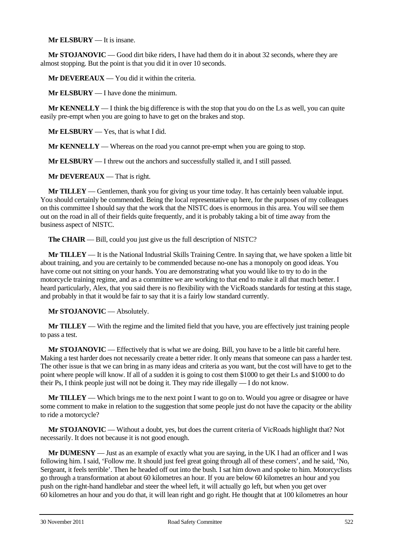**Mr ELSBURY** — It is insane.

**Mr STOJANOVIC** — Good dirt bike riders, I have had them do it in about 32 seconds, where they are almost stopping. But the point is that you did it in over 10 seconds.

**Mr DEVEREAUX** — You did it within the criteria.

**Mr ELSBURY** — I have done the minimum.

**Mr KENNELLY** — I think the big difference is with the stop that you do on the Ls as well, you can quite easily pre-empt when you are going to have to get on the brakes and stop.

**Mr ELSBURY** — Yes, that is what I did.

**Mr KENNELLY** — Whereas on the road you cannot pre-empt when you are going to stop.

**Mr ELSBURY** — I threw out the anchors and successfully stalled it, and I still passed.

**Mr DEVEREAUX** — That is right.

**Mr TILLEY** — Gentlemen, thank you for giving us your time today. It has certainly been valuable input. You should certainly be commended. Being the local representative up here, for the purposes of my colleagues on this committee I should say that the work that the NISTC does is enormous in this area. You will see them out on the road in all of their fields quite frequently, and it is probably taking a bit of time away from the business aspect of NISTC.

**The CHAIR** — Bill, could you just give us the full description of NISTC?

**Mr TILLEY** — It is the National Industrial Skills Training Centre. In saying that, we have spoken a little bit about training, and you are certainly to be commended because no-one has a monopoly on good ideas. You have come out not sitting on your hands. You are demonstrating what you would like to try to do in the motorcycle training regime, and as a committee we are working to that end to make it all that much better. I heard particularly, Alex, that you said there is no flexibility with the VicRoads standards for testing at this stage, and probably in that it would be fair to say that it is a fairly low standard currently.

**Mr STOJANOVIC** — Absolutely.

**Mr TILLEY** — With the regime and the limited field that you have, you are effectively just training people to pass a test.

**Mr STOJANOVIC** — Effectively that is what we are doing. Bill, you have to be a little bit careful here. Making a test harder does not necessarily create a better rider. It only means that someone can pass a harder test. The other issue is that we can bring in as many ideas and criteria as you want, but the cost will have to get to the point where people will know. If all of a sudden it is going to cost them \$1000 to get their Ls and \$1000 to do their Ps, I think people just will not be doing it. They may ride illegally — I do not know.

**Mr TILLEY** — Which brings me to the next point I want to go on to. Would you agree or disagree or have some comment to make in relation to the suggestion that some people just do not have the capacity or the ability to ride a motorcycle?

**Mr STOJANOVIC** — Without a doubt, yes, but does the current criteria of VicRoads highlight that? Not necessarily. It does not because it is not good enough.

**Mr DUMESNY** — Just as an example of exactly what you are saying, in the UK I had an officer and I was following him. I said, 'Follow me. It should just feel great going through all of these corners', and he said, 'No, Sergeant, it feels terrible'. Then he headed off out into the bush. I sat him down and spoke to him. Motorcyclists go through a transformation at about 60 kilometres an hour. If you are below 60 kilometres an hour and you push on the right-hand handlebar and steer the wheel left, it will actually go left, but when you get over 60 kilometres an hour and you do that, it will lean right and go right. He thought that at 100 kilometres an hour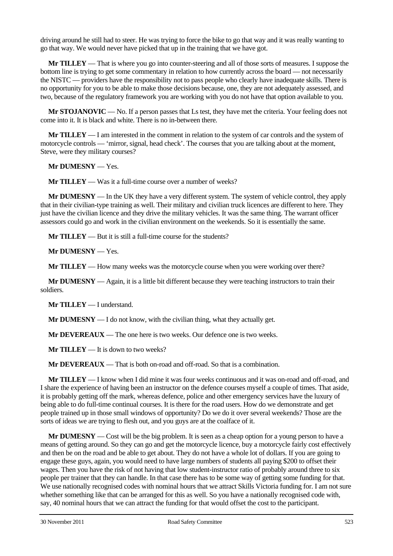driving around he still had to steer. He was trying to force the bike to go that way and it was really wanting to go that way. We would never have picked that up in the training that we have got.

**Mr TILLEY** — That is where you go into counter-steering and all of those sorts of measures. I suppose the bottom line is trying to get some commentary in relation to how currently across the board — not necessarily the NISTC — providers have the responsibility not to pass people who clearly have inadequate skills. There is no opportunity for you to be able to make those decisions because, one, they are not adequately assessed, and two, because of the regulatory framework you are working with you do not have that option available to you.

**Mr STOJANOVIC** — No. If a person passes that Ls test, they have met the criteria. Your feeling does not come into it. It is black and white. There is no in-between there.

**Mr TILLEY** — I am interested in the comment in relation to the system of car controls and the system of motorcycle controls — 'mirror, signal, head check'. The courses that you are talking about at the moment, Steve, were they military courses?

**Mr DUMESNY** — Yes.

**Mr TILLEY** — Was it a full-time course over a number of weeks?

**Mr DUMESNY** — In the UK they have a very different system. The system of vehicle control, they apply that in their civilian-type training as well. Their military and civilian truck licences are different to here. They just have the civilian licence and they drive the military vehicles. It was the same thing. The warrant officer assessors could go and work in the civilian environment on the weekends. So it is essentially the same.

**Mr TILLEY** — But it is still a full-time course for the students?

**Mr DUMESNY** — Yes.

**Mr TILLEY** — How many weeks was the motorcycle course when you were working over there?

**Mr DUMESNY** — Again, it is a little bit different because they were teaching instructors to train their soldiers.

**Mr TILLEY** — I understand.

**Mr DUMESNY** — I do not know, with the civilian thing, what they actually get.

**Mr DEVEREAUX** — The one here is two weeks. Our defence one is two weeks.

**Mr TILLEY** — It is down to two weeks?

**Mr DEVEREAUX** — That is both on-road and off-road. So that is a combination.

**Mr TILLEY** — I know when I did mine it was four weeks continuous and it was on-road and off-road, and I share the experience of having been an instructor on the defence courses myself a couple of times. That aside, it is probably getting off the mark, whereas defence, police and other emergency services have the luxury of being able to do full-time continual courses. It is there for the road users. How do we demonstrate and get people trained up in those small windows of opportunity? Do we do it over several weekends? Those are the sorts of ideas we are trying to flesh out, and you guys are at the coalface of it.

**Mr DUMESNY** — Cost will be the big problem. It is seen as a cheap option for a young person to have a means of getting around. So they can go and get the motorcycle licence, buy a motorcycle fairly cost effectively and then be on the road and be able to get about. They do not have a whole lot of dollars. If you are going to engage these guys, again, you would need to have large numbers of students all paying \$200 to offset their wages. Then you have the risk of not having that low student-instructor ratio of probably around three to six people per trainer that they can handle. In that case there has to be some way of getting some funding for that. We use nationally recognised codes with nominal hours that we attract Skills Victoria funding for. I am not sure whether something like that can be arranged for this as well. So you have a nationally recognised code with, say, 40 nominal hours that we can attract the funding for that would offset the cost to the participant.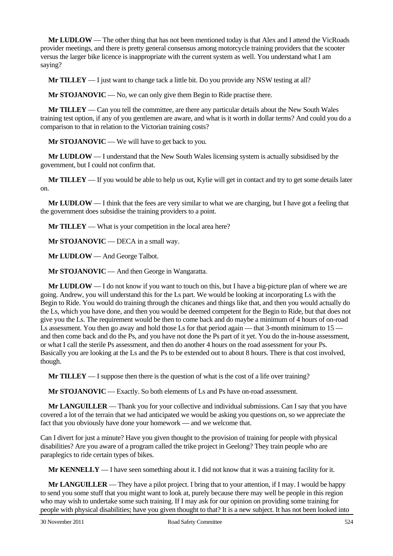**Mr LUDLOW** — The other thing that has not been mentioned today is that Alex and I attend the VicRoads provider meetings, and there is pretty general consensus among motorcycle training providers that the scooter versus the larger bike licence is inappropriate with the current system as well. You understand what I am saying?

**Mr TILLEY** — I just want to change tack a little bit. Do you provide any NSW testing at all?

**Mr STOJANOVIC** — No, we can only give them Begin to Ride practise there.

**Mr TILLEY** — Can you tell the committee, are there any particular details about the New South Wales training test option, if any of you gentlemen are aware, and what is it worth in dollar terms? And could you do a comparison to that in relation to the Victorian training costs?

**Mr STOJANOVIC** — We will have to get back to you.

**Mr LUDLOW** — I understand that the New South Wales licensing system is actually subsidised by the government, but I could not confirm that.

**Mr TILLEY** — If you would be able to help us out, Kylie will get in contact and try to get some details later on.

**Mr LUDLOW** — I think that the fees are very similar to what we are charging, but I have got a feeling that the government does subsidise the training providers to a point.

**Mr TILLEY** — What is your competition in the local area here?

**Mr STOJANOVIC** — DECA in a small way.

**Mr LUDLOW** — And George Talbot.

**Mr STOJANOVIC** — And then George in Wangaratta.

**Mr LUDLOW** — I do not know if you want to touch on this, but I have a big-picture plan of where we are going. Andrew, you will understand this for the Ls part. We would be looking at incorporating Ls with the Begin to Ride. You would do training through the chicanes and things like that, and then you would actually do the Ls, which you have done, and then you would be deemed competent for the Begin to Ride, but that does not give you the Ls. The requirement would be then to come back and do maybe a minimum of 4 hours of on-road Ls assessment. You then go away and hold those Ls for that period again — that 3-month minimum to 15 and then come back and do the Ps, and you have not done the Ps part of it yet. You do the in-house assessment, or what I call the sterile Ps assessment, and then do another 4 hours on the road assessment for your Ps. Basically you are looking at the Ls and the Ps to be extended out to about 8 hours. There is that cost involved, though.

**Mr TILLEY** — I suppose then there is the question of what is the cost of a life over training?

**Mr STOJANOVIC** — Exactly. So both elements of Ls and Ps have on-road assessment.

**Mr LANGUILLER** — Thank you for your collective and individual submissions. Can I say that you have covered a lot of the terrain that we had anticipated we would be asking you questions on, so we appreciate the fact that you obviously have done your homework — and we welcome that.

Can I divert for just a minute? Have you given thought to the provision of training for people with physical disabilities? Are you aware of a program called the trike project in Geelong? They train people who are paraplegics to ride certain types of bikes.

**Mr KENNELLY** — I have seen something about it. I did not know that it was a training facility for it.

**Mr LANGUILLER** — They have a pilot project. I bring that to your attention, if I may. I would be happy to send you some stuff that you might want to look at, purely because there may well be people in this region who may wish to undertake some such training. If I may ask for our opinion on providing some training for people with physical disabilities; have you given thought to that? It is a new subject. It has not been looked into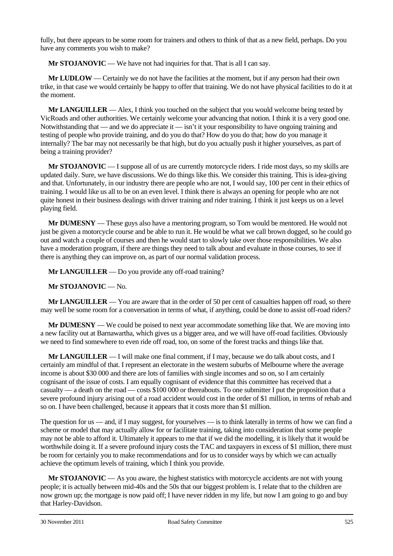fully, but there appears to be some room for trainers and others to think of that as a new field, perhaps. Do you have any comments you wish to make?

**Mr STOJANOVIC** — We have not had inquiries for that. That is all I can say.

**Mr LUDLOW** — Certainly we do not have the facilities at the moment, but if any person had their own trike, in that case we would certainly be happy to offer that training. We do not have physical facilities to do it at the moment.

**Mr LANGUILLER** — Alex, I think you touched on the subject that you would welcome being tested by VicRoads and other authorities. We certainly welcome your advancing that notion. I think it is a very good one. Notwithstanding that — and we do appreciate it — isn't it your responsibility to have ongoing training and testing of people who provide training, and do you do that? How do you do that; how do you manage it internally? The bar may not necessarily be that high, but do you actually push it higher yourselves, as part of being a training provider?

**Mr STOJANOVIC** — I suppose all of us are currently motorcycle riders. I ride most days, so my skills are updated daily. Sure, we have discussions. We do things like this. We consider this training. This is idea-giving and that. Unfortunately, in our industry there are people who are not, I would say, 100 per cent in their ethics of training. I would like us all to be on an even level. I think there is always an opening for people who are not quite honest in their business dealings with driver training and rider training. I think it just keeps us on a level playing field.

**Mr DUMESNY** — These guys also have a mentoring program, so Tom would be mentored. He would not just be given a motorcycle course and be able to run it. He would be what we call brown dogged, so he could go out and watch a couple of courses and then he would start to slowly take over those responsibilities. We also have a moderation program, if there are things they need to talk about and evaluate in those courses, to see if there is anything they can improve on, as part of our normal validation process.

**Mr LANGUILLER** — Do you provide any off-road training?

**Mr STOJANOVIC** — No.

**Mr LANGUILLER** — You are aware that in the order of 50 per cent of casualties happen off road, so there may well be some room for a conversation in terms of what, if anything, could be done to assist off-road riders?

**Mr DUMESNY** — We could be poised to next year accommodate something like that. We are moving into a new facility out at Barnawartha, which gives us a bigger area, and we will have off-road facilities. Obviously we need to find somewhere to even ride off road, too, on some of the forest tracks and things like that.

**Mr LANGUILLER** — I will make one final comment, if I may, because we do talk about costs, and I certainly am mindful of that. I represent an electorate in the western suburbs of Melbourne where the average income is about \$30 000 and there are lots of families with single incomes and so on, so I am certainly cognisant of the issue of costs. I am equally cognisant of evidence that this committee has received that a casualty — a death on the road — costs \$100 000 or thereabouts. To one submitter I put the proposition that a severe profound injury arising out of a road accident would cost in the order of \$1 million, in terms of rehab and so on. I have been challenged, because it appears that it costs more than \$1 million.

The question for us — and, if I may suggest, for yourselves — is to think laterally in terms of how we can find a scheme or model that may actually allow for or facilitate training, taking into consideration that some people may not be able to afford it. Ultimately it appears to me that if we did the modelling, it is likely that it would be worthwhile doing it. If a severe profound injury costs the TAC and taxpayers in excess of \$1 million, there must be room for certainly you to make recommendations and for us to consider ways by which we can actually achieve the optimum levels of training, which I think you provide.

**Mr STOJANOVIC** — As you aware, the highest statistics with motorcycle accidents are not with young people; it is actually between mid-40s and the 50s that our biggest problem is. I relate that to the children are now grown up; the mortgage is now paid off; I have never ridden in my life, but now I am going to go and buy that Harley-Davidson.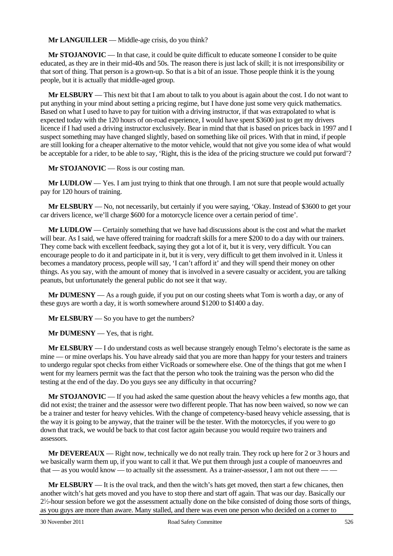**Mr LANGUILLER** — Middle-age crisis, do you think?

**Mr STOJANOVIC** — In that case, it could be quite difficult to educate someone I consider to be quite educated, as they are in their mid-40s and 50s. The reason there is just lack of skill; it is not irresponsibility or that sort of thing. That person is a grown-up. So that is a bit of an issue. Those people think it is the young people, but it is actually that middle-aged group.

**Mr ELSBURY** — This next bit that I am about to talk to you about is again about the cost. I do not want to put anything in your mind about setting a pricing regime, but I have done just some very quick mathematics. Based on what I used to have to pay for tuition with a driving instructor, if that was extrapolated to what is expected today with the 120 hours of on-road experience, I would have spent \$3600 just to get my drivers licence if I had used a driving instructor exclusively. Bear in mind that that is based on prices back in 1997 and I suspect something may have changed slightly, based on something like oil prices. With that in mind, if people are still looking for a cheaper alternative to the motor vehicle, would that not give you some idea of what would be acceptable for a rider, to be able to say, 'Right, this is the idea of the pricing structure we could put forward'?

**Mr STOJANOVIC** — Ross is our costing man.

**Mr LUDLOW** — Yes. I am just trying to think that one through. I am not sure that people would actually pay for 120 hours of training.

**Mr ELSBURY** — No, not necessarily, but certainly if you were saying, 'Okay. Instead of \$3600 to get your car drivers licence, we'll charge \$600 for a motorcycle licence over a certain period of time'.

**Mr LUDLOW** — Certainly something that we have had discussions about is the cost and what the market will bear. As I said, we have offered training for roadcraft skills for a mere \$200 to do a day with our trainers. They come back with excellent feedback, saying they got a lot of it, but it is very, very difficult. You can encourage people to do it and participate in it, but it is very, very difficult to get them involved in it. Unless it becomes a mandatory process, people will say, 'I can't afford it' and they will spend their money on other things. As you say, with the amount of money that is involved in a severe casualty or accident, you are talking peanuts, but unfortunately the general public do not see it that way.

**Mr DUMESNY** — As a rough guide, if you put on our costing sheets what Tom is worth a day, or any of these guys are worth a day, it is worth somewhere around \$1200 to \$1400 a day.

**Mr ELSBURY** — So you have to get the numbers?

**Mr DUMESNY** — Yes, that is right.

**Mr ELSBURY** — I do understand costs as well because strangely enough Telmo's electorate is the same as mine — or mine overlaps his. You have already said that you are more than happy for your testers and trainers to undergo regular spot checks from either VicRoads or somewhere else. One of the things that got me when I went for my learners permit was the fact that the person who took the training was the person who did the testing at the end of the day. Do you guys see any difficulty in that occurring?

**Mr STOJANOVIC** — If you had asked the same question about the heavy vehicles a few months ago, that did not exist; the trainer and the assessor were two different people. That has now been waived, so now we can be a trainer and tester for heavy vehicles. With the change of competency-based heavy vehicle assessing, that is the way it is going to be anyway, that the trainer will be the tester. With the motorcycles, if you were to go down that track, we would be back to that cost factor again because you would require two trainers and assessors.

**Mr DEVEREAUX** — Right now, technically we do not really train. They rock up here for 2 or 3 hours and we basically warm them up, if you want to call it that. We put them through just a couple of manoeuvres and that — as you would know — to actually sit the assessment. As a trainer-assessor, I am not out there — —

**Mr ELSBURY** — It is the oval track, and then the witch's hats get moved, then start a few chicanes, then another witch's hat gets moved and you have to stop there and start off again. That was our day. Basically our  $2\frac{1}{2}$ -hour session before we got the assessment actually done on the bike consisted of doing those sorts of things, as you guys are more than aware. Many stalled, and there was even one person who decided on a corner to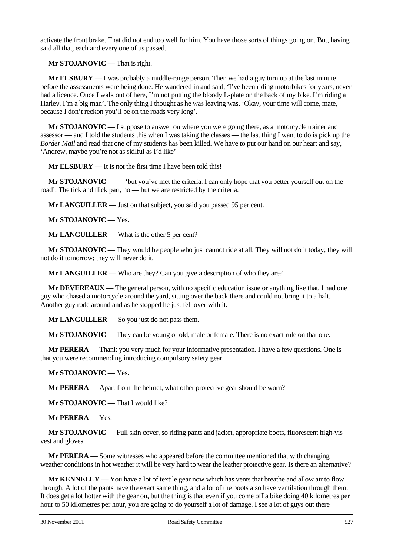activate the front brake. That did not end too well for him. You have those sorts of things going on. But, having said all that, each and every one of us passed.

**Mr STOJANOVIC** — That is right.

**Mr ELSBURY** — I was probably a middle-range person. Then we had a guy turn up at the last minute before the assessments were being done. He wandered in and said, 'I've been riding motorbikes for years, never had a licence. Once I walk out of here, I'm not putting the bloody L-plate on the back of my bike. I'm riding a Harley. I'm a big man'. The only thing I thought as he was leaving was, 'Okay, your time will come, mate, because I don't reckon you'll be on the roads very long'.

**Mr STOJANOVIC** — I suppose to answer on where you were going there, as a motorcycle trainer and assessor — and I told the students this when I was taking the classes — the last thing I want to do is pick up the *Border Mail* and read that one of my students has been killed. We have to put our hand on our heart and say, 'Andrew, maybe you're not as skilful as I'd like' — —

**Mr ELSBURY** — It is not the first time I have been told this!

**Mr STOJANOVIC** — — 'but you've met the criteria. I can only hope that you better yourself out on the road'. The tick and flick part, no — but we are restricted by the criteria.

**Mr LANGUILLER** — Just on that subject, you said you passed 95 per cent.

**Mr STOJANOVIC** — Yes.

**Mr LANGUILLER** — What is the other 5 per cent?

**Mr STOJANOVIC** — They would be people who just cannot ride at all. They will not do it today; they will not do it tomorrow; they will never do it.

**Mr LANGUILLER** — Who are they? Can you give a description of who they are?

**Mr DEVEREAUX** — The general person, with no specific education issue or anything like that. I had one guy who chased a motorcycle around the yard, sitting over the back there and could not bring it to a halt. Another guy rode around and as he stopped he just fell over with it.

**Mr LANGUILLER** — So you just do not pass them.

**Mr STOJANOVIC** — They can be young or old, male or female. There is no exact rule on that one.

**Mr PERERA** — Thank you very much for your informative presentation. I have a few questions. One is that you were recommending introducing compulsory safety gear.

**Mr STOJANOVIC** — Yes.

**Mr PERERA** — Apart from the helmet, what other protective gear should be worn?

**Mr STOJANOVIC** — That I would like?

**Mr PERERA** — Yes.

**Mr STOJANOVIC** — Full skin cover, so riding pants and jacket, appropriate boots, fluorescent high-vis vest and gloves.

**Mr PERERA** — Some witnesses who appeared before the committee mentioned that with changing weather conditions in hot weather it will be very hard to wear the leather protective gear. Is there an alternative?

**Mr KENNELLY** — You have a lot of textile gear now which has vents that breathe and allow air to flow through. A lot of the pants have the exact same thing, and a lot of the boots also have ventilation through them. It does get a lot hotter with the gear on, but the thing is that even if you come off a bike doing 40 kilometres per hour to 50 kilometres per hour, you are going to do yourself a lot of damage. I see a lot of guys out there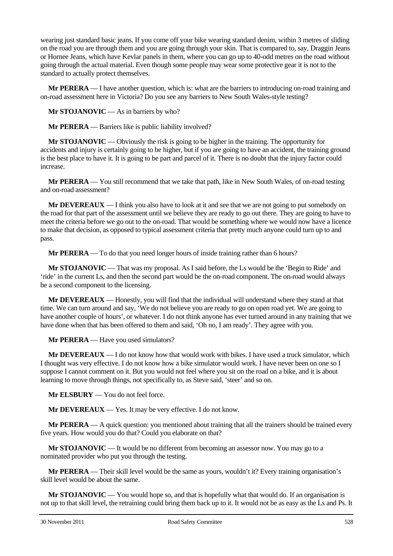wearing just standard basic jeans. If you come off your bike wearing standard denim, within 3 metres of sliding on the road you are through them and you are going through your skin. That is compared to, say, Draggin Jeans or Hornee Jeans, which have Kevlar panels in them, where you can go up to 40-odd metres on the road without going through the actual material. Even though some people may wear some protective gear it is not to the standard to actually protect themselves.

**Mr PERERA** — I have another question, which is: what are the barriers to introducing on-road training and on-road assessment here in Victoria? Do you see any barriers to New South Wales-style testing?

**Mr STOJANOVIC** — As in barriers by who?

**Mr PERERA** — Barriers like is public liability involved?

**Mr STOJANOVIC** — Obviously the risk is going to be higher in the training. The opportunity for accidents and injury is certainly going to be higher, but if you are going to have an accident, the training ground is the best place to have it. It is going to be part and parcel of it. There is no doubt that the injury factor could increase.

**Mr PERERA** — You still recommend that we take that path, like in New South Wales, of on-road testing and on-road assessment?

**Mr DEVEREAUX** — I think you also have to look at it and see that we are not going to put somebody on the road for that part of the assessment until we believe they are ready to go out there. They are going to have to meet the criteria before we go out to the on-road. That would be something where we would now have a licence to make that decision, as opposed to typical assessment criteria that pretty much anyone could turn up to and pass.

**Mr PERERA** — To do that you need longer hours of inside training rather than 6 hours?

**Mr STOJANOVIC** — That was my proposal. As I said before, the Ls would be the 'Begin to Ride' and 'ride' in the current Ls, and then the second part would be the on-road component. The on-road would always be a second component to the licensing.

**Mr DEVEREAUX** — Honestly, you will find that the individual will understand where they stand at that time. We can turn around and say, 'We do not believe you are ready to go on open road yet. We are going to have another couple of hours', or whatever. I do not think anyone has ever turned around in any training that we have done when that has been offered to them and said, 'Oh no, I am ready'. They agree with you.

**Mr PERERA** — Have you used simulators?

**Mr DEVEREAUX** — I do not know how that would work with bikes. I have used a truck simulator, which I thought was very effective. I do not know how a bike simulator would work. I have never been on one so I suppose I cannot comment on it. But you would not feel where you sit on the road on a bike, and it is about learning to move through things, not specifically to, as Steve said, 'steer' and so on.

**Mr ELSBURY** — You do not feel force.

**Mr DEVEREAUX** — Yes. It may be very effective. I do not know.

**Mr PERERA** — A quick question: you mentioned about training that all the trainers should be trained every five years. How would you do that? Could you elaborate on that?

**Mr STOJANOVIC** — It would be no different from becoming an assessor now. You may go to a nominated provider who put you through the testing.

**Mr PERERA** — Their skill level would be the same as yours, wouldn't it? Every training organisation's skill level would be about the same.

**Mr STOJANOVIC** — You would hope so, and that is hopefully what that would do. If an organisation is not up to that skill level, the retraining could bring them back up to it. It would not be as easy as the Ls and Ps. It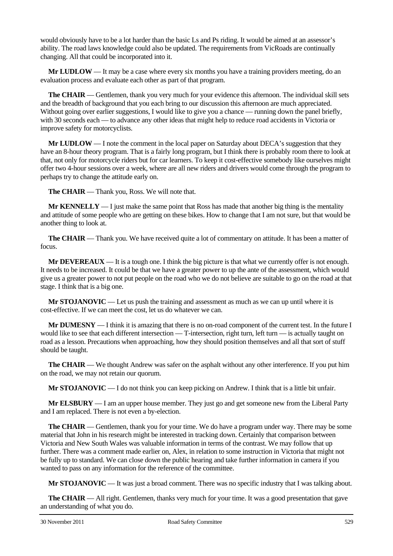would obviously have to be a lot harder than the basic Ls and Ps riding. It would be aimed at an assessor's ability. The road laws knowledge could also be updated. The requirements from VicRoads are continually changing. All that could be incorporated into it.

**Mr LUDLOW** — It may be a case where every six months you have a training providers meeting, do an evaluation process and evaluate each other as part of that program.

**The CHAIR** — Gentlemen, thank you very much for your evidence this afternoon. The individual skill sets and the breadth of background that you each bring to our discussion this afternoon are much appreciated. Without going over earlier suggestions, I would like to give you a chance — running down the panel briefly, with 30 seconds each — to advance any other ideas that might help to reduce road accidents in Victoria or improve safety for motorcyclists.

**Mr LUDLOW** — I note the comment in the local paper on Saturday about DECA's suggestion that they have an 8-hour theory program. That is a fairly long program, but I think there is probably room there to look at that, not only for motorcycle riders but for car learners. To keep it cost-effective somebody like ourselves might offer two 4-hour sessions over a week, where are all new riders and drivers would come through the program to perhaps try to change the attitude early on.

**The CHAIR** — Thank you, Ross. We will note that.

**Mr KENNELLY** — I just make the same point that Ross has made that another big thing is the mentality and attitude of some people who are getting on these bikes. How to change that I am not sure, but that would be another thing to look at.

**The CHAIR** — Thank you. We have received quite a lot of commentary on attitude. It has been a matter of focus.

**Mr DEVEREAUX** — It is a tough one. I think the big picture is that what we currently offer is not enough. It needs to be increased. It could be that we have a greater power to up the ante of the assessment, which would give us a greater power to not put people on the road who we do not believe are suitable to go on the road at that stage. I think that is a big one.

**Mr STOJANOVIC** — Let us push the training and assessment as much as we can up until where it is cost-effective. If we can meet the cost, let us do whatever we can.

**Mr DUMESNY** — I think it is amazing that there is no on-road component of the current test. In the future I would like to see that each different intersection — T-intersection, right turn, left turn — is actually taught on road as a lesson. Precautions when approaching, how they should position themselves and all that sort of stuff should be taught.

**The CHAIR** — We thought Andrew was safer on the asphalt without any other interference. If you put him on the road, we may not retain our quorum.

**Mr STOJANOVIC** — I do not think you can keep picking on Andrew. I think that is a little bit unfair.

**Mr ELSBURY** — I am an upper house member. They just go and get someone new from the Liberal Party and I am replaced. There is not even a by-election.

**The CHAIR** — Gentlemen, thank you for your time. We do have a program under way. There may be some material that John in his research might be interested in tracking down. Certainly that comparison between Victoria and New South Wales was valuable information in terms of the contrast. We may follow that up further. There was a comment made earlier on, Alex, in relation to some instruction in Victoria that might not be fully up to standard. We can close down the public hearing and take further information in camera if you wanted to pass on any information for the reference of the committee.

**Mr STOJANOVIC** — It was just a broad comment. There was no specific industry that I was talking about.

**The CHAIR** — All right. Gentlemen, thanks very much for your time. It was a good presentation that gave an understanding of what you do.